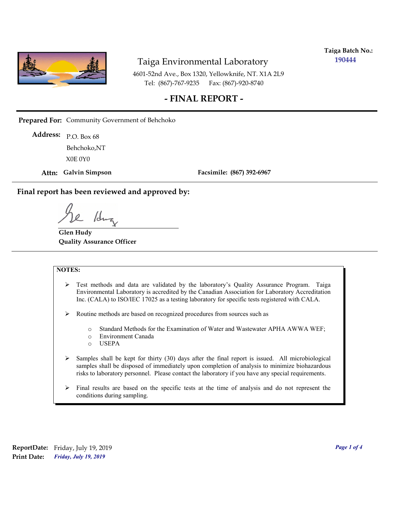

**Taiga Batch No.: 190444**

4601-52nd Ave., Box 1320, Yellowknife, NT. X1A 2L9 Tel: (867)-767-9235 Fax: (867)-920-8740

## **- FINAL REPORT -**

**Prepared For:** Community Government of Behchoko

P.O. Box 68 **Address:** X0E 0Y0 Behchoko,NT

**Attn: Galvin Simpson**

**Facsimile: (867) 392-6967**

**Final report has been reviewed and approved by:**

1dr

**Glen Hudy Quality Assurance Officer**

#### **NOTES:**

- $\triangleright$  Test methods and data are validated by the laboratory's Quality Assurance Program. Taiga Environmental Laboratory is accredited by the Canadian Association for Laboratory Accreditation Inc. (CALA) to ISO/IEC 17025 as a testing laboratory for specific tests registered with CALA.
- Routine methods are based on recognized procedures from sources such as
	- o Standard Methods for the Examination of Water and Wastewater APHA AWWA WEF;
	- o Environment Canada
	- o USEPA
- $\triangleright$  Samples shall be kept for thirty (30) days after the final report is issued. All microbiological samples shall be disposed of immediately upon completion of analysis to minimize biohazardous risks to laboratory personnel. Please contact the laboratory if you have any special requirements.
- $\triangleright$  Final results are based on the specific tests at the time of analysis and do not represent the conditions during sampling.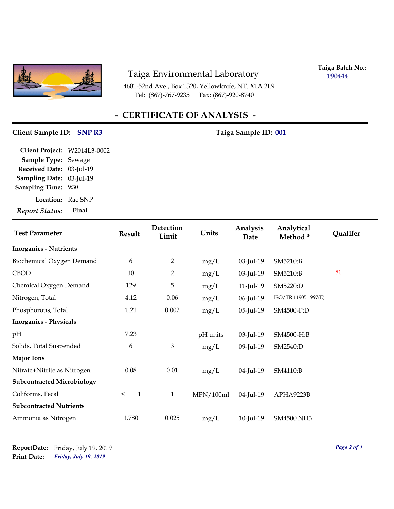

4601-52nd Ave., Box 1320, Yellowknife, NT. X1A 2L9 Tel: (867)-767-9235 Fax: (867)-920-8740

**Taiga Batch No.: 190444**

# **- CERTIFICATE OF ANALYSIS -**

## **Client Sample ID: SNP R3** Taiga Sample ID: 001

| <b>Report Status:</b>        | Final |
|------------------------------|-------|
| <b>Location:</b> Rae SNP     |       |
| <b>Sampling Time: 9:30</b>   |       |
| Sampling Date: 03-Jul-19     |       |
| Received Date: 03-Jul-19     |       |
| Sample Type: Sewage          |       |
| Client Project: W2014L3-0002 |       |

| <b>Test Parameter</b>             | <b>Result</b>         | Detection<br>Limit | Units     | Analysis<br>Date | Analytical<br>Method* | Qualifer |
|-----------------------------------|-----------------------|--------------------|-----------|------------------|-----------------------|----------|
| <b>Inorganics - Nutrients</b>     |                       |                    |           |                  |                       |          |
| Biochemical Oxygen Demand         | 6                     | 2                  | mg/L      | 03-Jul-19        | SM5210:B              |          |
| <b>CBOD</b>                       | 10                    | $\overline{2}$     | mg/L      | 03-Jul-19        | SM5210:B              | 81       |
| Chemical Oxygen Demand            | 129                   | 5                  | mg/L      | $11$ -Jul- $19$  | SM5220:D              |          |
| Nitrogen, Total                   | 4.12                  | 0.06               | mg/L      | 06-Jul-19        | ISO/TR 11905:1997(E)  |          |
| Phosphorous, Total                | 1.21                  | 0.002              | mg/L      | 05-Jul-19        | SM4500-P:D            |          |
| <b>Inorganics - Physicals</b>     |                       |                    |           |                  |                       |          |
| pH                                | 7.23                  |                    | pH units  | 03-Jul-19        | SM4500-H:B            |          |
| Solids, Total Suspended           | 6                     | 3                  | mg/L      | 09-Jul-19        | SM2540:D              |          |
| <b>Major Ions</b>                 |                       |                    |           |                  |                       |          |
| Nitrate+Nitrite as Nitrogen       | 0.08                  | $0.01\,$           | mg/L      | 04-Jul-19        | SM4110:B              |          |
| <b>Subcontracted Microbiology</b> |                       |                    |           |                  |                       |          |
| Coliforms, Fecal                  | $\mathbf{1}$<br>$\,<$ | $\mathbf{1}$       | MPN/100ml | 04-Jul-19        | APHA9223B             |          |
| <b>Subcontracted Nutrients</b>    |                       |                    |           |                  |                       |          |
| Ammonia as Nitrogen               | 1.780                 | 0.025              | mg/L      | 10-Jul-19        | <b>SM4500 NH3</b>     |          |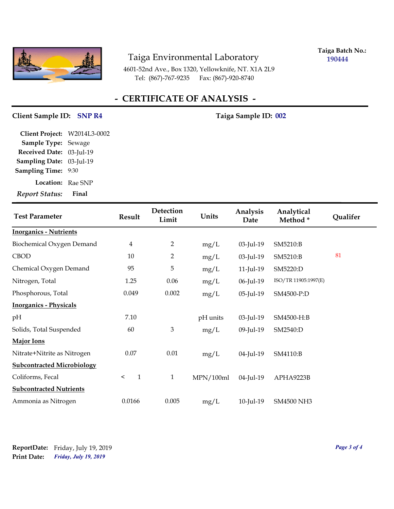

**Taiga Batch No.: 190444**

4601-52nd Ave., Box 1320, Yellowknife, NT. X1A 2L9 Tel: (867)-767-9235 Fax: (867)-920-8740

# **- CERTIFICATE OF ANALYSIS -**

## Client Sample ID: SNP R4 Taiga Sample ID: 002

| <b>Report Status:</b>        | Final |
|------------------------------|-------|
| <b>Location:</b> Rae SNP     |       |
| <b>Sampling Time: 9:30</b>   |       |
| Sampling Date: 03-Jul-19     |       |
| Received Date: 03-Jul-19     |       |
| Sample Type: Sewage          |       |
| Client Project: W2014L3-0002 |       |

| <b>Test Parameter</b>             | <b>Result</b>           | Detection<br>Limit | Units     | Analysis<br>Date | Analytical<br>Method* | Qualifer |
|-----------------------------------|-------------------------|--------------------|-----------|------------------|-----------------------|----------|
| <b>Inorganics - Nutrients</b>     |                         |                    |           |                  |                       |          |
| Biochemical Oxygen Demand         | $\overline{\mathbf{4}}$ | $\overline{2}$     | mg/L      | 03-Jul-19        | SM5210:B              |          |
| <b>CBOD</b>                       | 10                      | $\overline{2}$     | mg/L      | 03-Jul-19        | SM5210:B              | 81       |
| Chemical Oxygen Demand            | 95                      | 5                  | mg/L      | $11$ -Jul- $19$  | SM5220:D              |          |
| Nitrogen, Total                   | 1.25                    | 0.06               | mg/L      | 06-Jul-19        | ISO/TR 11905:1997(E)  |          |
| Phosphorous, Total                | 0.049                   | 0.002              | mg/L      | 05-Jul-19        | SM4500-P:D            |          |
| <b>Inorganics - Physicals</b>     |                         |                    |           |                  |                       |          |
| pH                                | 7.10                    |                    | pH units  | 03-Jul-19        | SM4500-H:B            |          |
| Solids, Total Suspended           | 60                      | $\mathfrak{Z}$     | mg/L      | 09-Jul-19        | SM2540:D              |          |
| <b>Major Ions</b>                 |                         |                    |           |                  |                       |          |
| Nitrate+Nitrite as Nitrogen       | 0.07                    | $0.01\,$           | mg/L      | 04-Jul-19        | SM4110:B              |          |
| <b>Subcontracted Microbiology</b> |                         |                    |           |                  |                       |          |
| Coliforms, Fecal                  | $\mathbf{1}$<br>$\,<\,$ | $\mathbf{1}$       | MPN/100ml | 04-Jul-19        | APHA9223B             |          |
| <b>Subcontracted Nutrients</b>    |                         |                    |           |                  |                       |          |
| Ammonia as Nitrogen               | 0.0166                  | 0.005              | mg/L      | 10-Jul-19        | <b>SM4500 NH3</b>     |          |